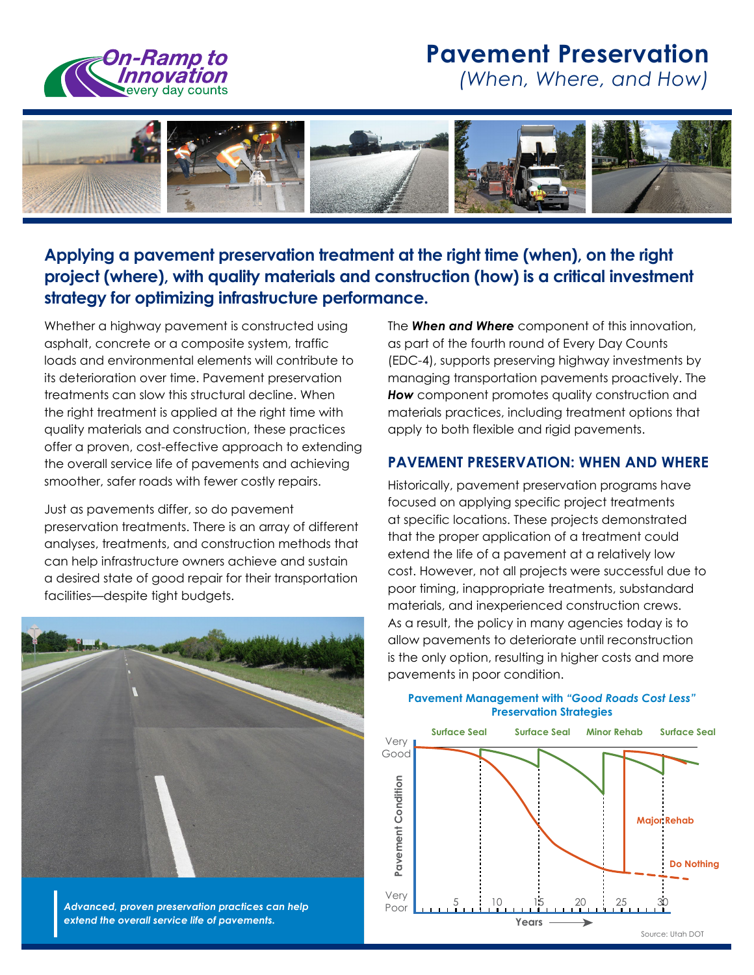

# **Pavement Preservation**

*(When, Where, and How)* 



### **Applying a pavement preservation treatment at the right time (when), on the right project (where), with quality materials and construction (how) is a critical investment strategy for optimizing infrastructure performance.**

Whether a highway pavement is constructed using asphalt, concrete or a composite system, traffic loads and environmental elements will contribute to its deterioration over time. Pavement preservation treatments can slow this structural decline. When the right treatment is applied at the right time with quality materials and construction, these practices offer a proven, cost-effective approach to extending the overall service life of pavements and achieving smoother, safer roads with fewer costly repairs.

Just as pavements differ, so do pavement preservation treatments. There is an array of different analyses, treatments, and construction methods that can help infrastructure owners achieve and sustain a desired state of good repair for their transportation facilities—despite tight budgets.



*Advanced, proven preservation practices can help extend the overall service life of pavements.* 

The *When and Where* component of this innovation, as part of the fourth round of Every Day Counts (EDC-4), supports preserving highway investments by managing transportation pavements proactively. The **How** component promotes quality construction and materials practices, including treatment options that apply to both flexible and rigid pavements.

### **PAVEMENT PRESERVATION: WHEN AND WHERE**

Historically, pavement preservation programs have focused on applying specific project treatments at specific locations. These projects demonstrated that the proper application of a treatment could extend the life of a pavement at a relatively low cost. However, not all projects were successful due to poor timing, inappropriate treatments, substandard materials, and inexperienced construction crews. As a result, the policy in many agencies today is to allow pavements to deteriorate until reconstruction is the only option, resulting in higher costs and more pavements in poor condition.



#### **Pavement Management with** *"Good Roads Cost Less"*  **Preservation Strategies**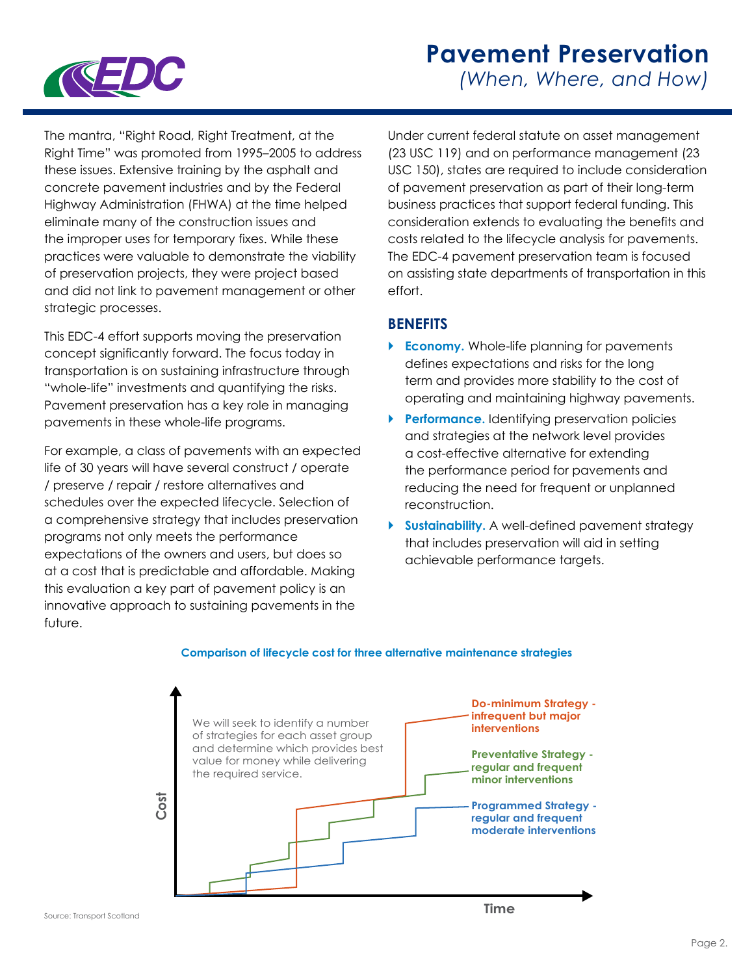

## **Pavement Preservation**  *(When, Where, and How)*

The mantra, "Right Road, Right Treatment, at the Right Time" was promoted from 1995–2005 to address these issues. Extensive training by the asphalt and concrete pavement industries and by the Federal Highway Administration (FHWA) at the time helped eliminate many of the construction issues and the improper uses for temporary fixes. While these practices were valuable to demonstrate the viability of preservation projects, they were project based and did not link to pavement management or other strategic processes.

This EDC-4 effort supports moving the preservation concept significantly forward. The focus today in transportation is on sustaining infrastructure through "whole-life" investments and quantifying the risks. Pavement preservation has a key role in managing pavements in these whole-life programs.

For example, a class of pavements with an expected life of 30 years will have several construct / operate / preserve / repair / restore alternatives and schedules over the expected lifecycle. Selection of a comprehensive strategy that includes preservation programs not only meets the performance expectations of the owners and users, but does so at a cost that is predictable and affordable. Making this evaluation a key part of pavement policy is an innovative approach to sustaining pavements in the future.

Under current federal statute on asset management (23 USC 119) and on performance management (23 USC 150), states are required to include consideration of pavement preservation as part of their long-term business practices that support federal funding. This consideration extends to evaluating the benefits and costs related to the lifecycle analysis for pavements. The EDC-4 pavement preservation team is focused on assisting state departments of transportation in this effort.

### **BENEFITS**

- **Economy.** Whole-life planning for pavements defines expectations and risks for the long term and provides more stability to the cost of operating and maintaining highway pavements.
- **Performance.** Identifying preservation policies and strategies at the network level provides a cost-effective alternative for extending the performance period for pavements and reducing the need for frequent or unplanned reconstruction.
- **Sustainability.** A well-defined pavement strategy that includes preservation will aid in setting achievable performance targets.



#### **Comparison of lifecycle cost for three alternative maintenance strategies**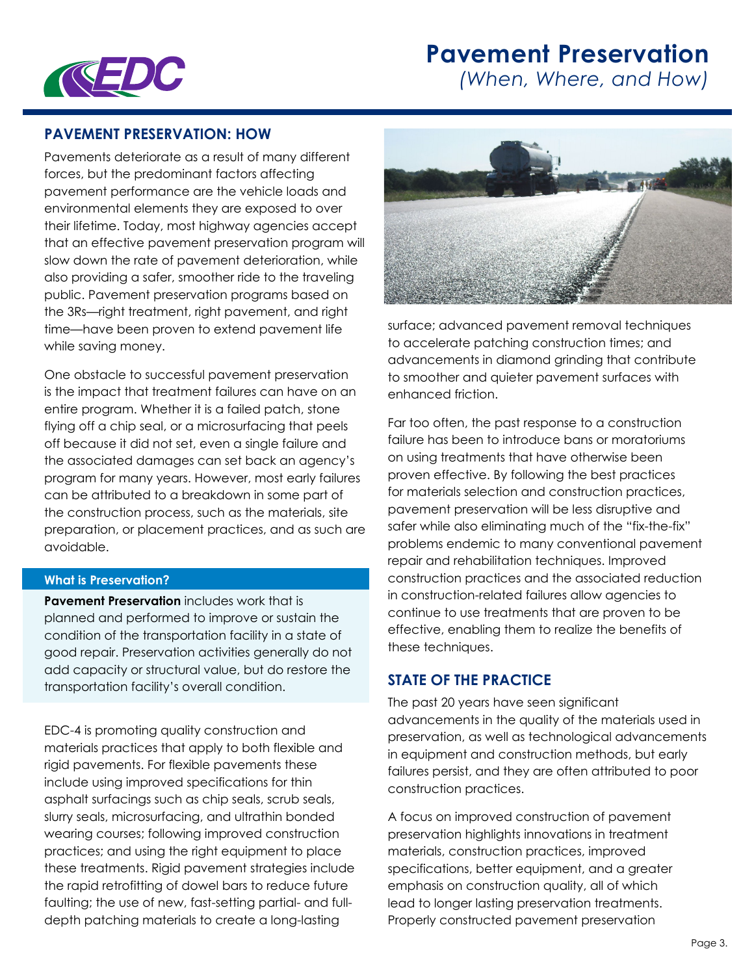# **Pavement Preservation**



*(When, Where, and How)* 

### **PAVEMENT PRESERVATION: HOW**

Pavements deteriorate as a result of many different forces, but the predominant factors affecting pavement performance are the vehicle loads and environmental elements they are exposed to over their lifetime. Today, most highway agencies accept that an effective pavement preservation program will slow down the rate of pavement deterioration, while also providing a safer, smoother ride to the traveling public. Pavement preservation programs based on the 3Rs—right treatment, right pavement, and right time—have been proven to extend pavement life while saving money.

One obstacle to successful pavement preservation is the impact that treatment failures can have on an entire program. Whether it is a failed patch, stone flying off a chip seal, or a microsurfacing that peels off because it did not set, even a single failure and the associated damages can set back an agency's program for many years. However, most early failures can be attributed to a breakdown in some part of the construction process, such as the materials, site preparation, or placement practices, and as such are avoidable.

#### **What is Preservation?**

**Pavement Preservation** includes work that is planned and performed to improve or sustain the condition of the transportation facility in a state of good repair. Preservation activities generally do not add capacity or structural value, but do restore the transportation facility's overall condition.

EDC-4 is promoting quality construction and materials practices that apply to both flexible and rigid pavements. For flexible pavements these include using improved specifications for thin asphalt surfacings such as chip seals, scrub seals, slurry seals, microsurfacing, and ultrathin bonded wearing courses; following improved construction practices; and using the right equipment to place these treatments. Rigid pavement strategies include the rapid retrofitting of dowel bars to reduce future faulting; the use of new, fast-setting partial- and fulldepth patching materials to create a long-lasting



surface; advanced pavement removal techniques to accelerate patching construction times; and advancements in diamond grinding that contribute to smoother and quieter pavement surfaces with enhanced friction.

Far too often, the past response to a construction failure has been to introduce bans or moratoriums on using treatments that have otherwise been proven effective. By following the best practices for materials selection and construction practices, pavement preservation will be less disruptive and safer while also eliminating much of the "fix-the-fix" problems endemic to many conventional pavement repair and rehabilitation techniques. Improved construction practices and the associated reduction in construction-related failures allow agencies to continue to use treatments that are proven to be effective, enabling them to realize the benefits of these techniques.

### **STATE OF THE PRACTICE**

The past 20 years have seen significant advancements in the quality of the materials used in preservation, as well as technological advancements in equipment and construction methods, but early failures persist, and they are often attributed to poor construction practices.

A focus on improved construction of pavement preservation highlights innovations in treatment materials, construction practices, improved specifications, better equipment, and a greater emphasis on construction quality, all of which lead to longer lasting preservation treatments. Properly constructed pavement preservation